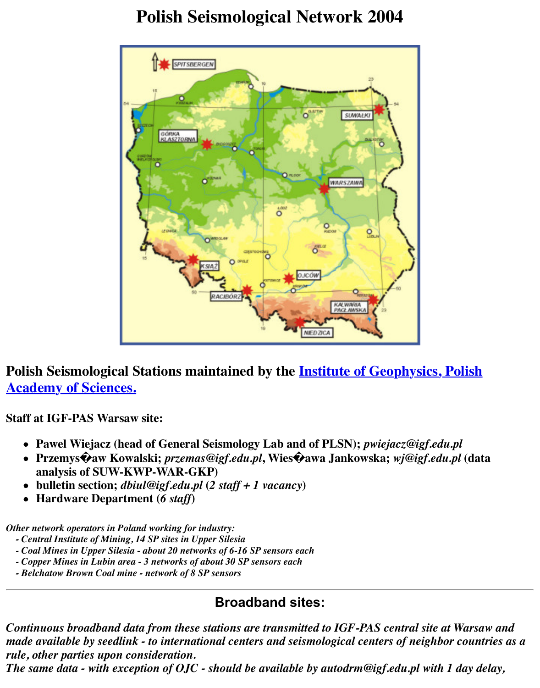

**Polish Seismological Stations maintained by the Institute of Geophysics, Polynomia Property Academy of Sciences.**

**Staff at IGF-PAS Warsaw site:**

- **Pawel Wiejacz (head of General Seismology Lab and of PLSN);** *pwiejacz@igf.edu.p*
- **Przemys�aw Kowalski;** *przemas@igf.edu.pl***, Wies�awa Jankowska;** *wj@igf.edu.pl* **(data [analysis of SUW-KWP-WAR-GKP\)](http://www.igf.edu.pl/)**
- **bulletin section;** *dbiul@igf.edu.pl* **(***2 staff + 1 vacancy***)**
- **Hardware Department (***6 staff***)**

*Other network operators in Poland working for industry:*

- *Central Institute of Mining, 14 SP sites in Upper Silesia*
- *Coal Mines in Upper Silesia about 20 networks of 6-16 SP sensors each*
- *Copper Mines in Lubin area 3 networks of about 30 SP sensors each*
- *Belchatow Brown Coal mine network of 8 SP sensors*

## **Broadband sites:**

*Continuous broadband data from these stations are transmitted to IGF-PAS central site at Warsaw and made available by seedlink - to international centers and seismological centers of neighbor rule, other parties upon consideration.*

*The same data - with exception of OJC - should be available by autodrm@igf.edu.pl with 1 d*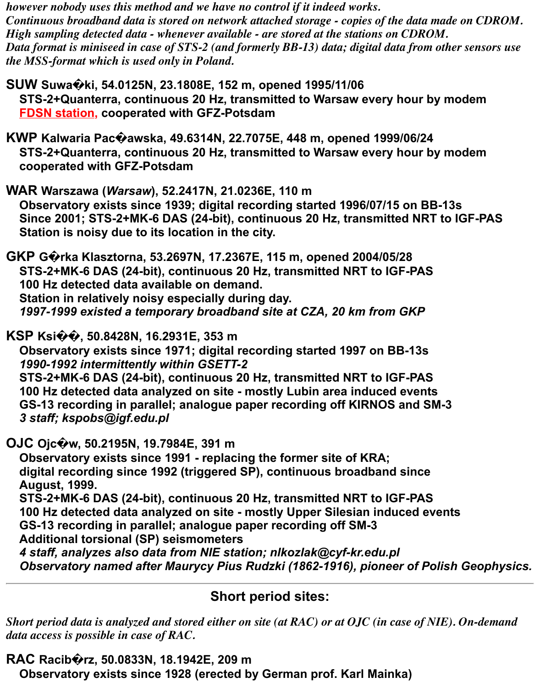*however nobody uses this method and we have no control if it indeed works. Continuous broadband data is stored on network attached storage - copies of the data made on CDROM. High sampling detected data - whenever available - are stored at the stations on CDROM. Data format is miniseed in case of STS-2 (and formerly BB-13) data; digital data from other sensors use the MSS-format which is used only in Poland.*

**SUW Suwa�ki, 54.0125N, 23.1808E, 152 m, opened 1995/11/06 STS-2+Quanterra, continuous 20 Hz, transmitted to Warsaw every hour by modem FDSN station, cooperated with GFZ-Potsdam**

**KWP Kalwaria Pac�awska, 49.6314N, 22.7075E, 448 m, opened 1999/06/24 STS-2+Quanterra, continuous 20 Hz, transmitted to Warsaw every hour by modem cooperated with GFZ-Potsdam**

**WAR Warszawa (***Warsaw***), 52.2417N, 21.0236E, 110 m Observatory exists since 1939; digital recording started 1996/07/15 on BB-13s Since 2001; STS-2+MK-6 DAS (24-bit), continuous 20 Hz, transmitted NRT to IGF-PAS Station is noisy due to its location in the city.**

**GKP G�rka Klasztorna, 53.2697N, 17.2367E, 115 m, opened 2004/05/28 STS-2+MK-6 DAS (24-bit), continuous 20 Hz, transmitted NRT to IGF-PAS 100 Hz detected data available on demand. Station in relatively noisy especially during day.** *1997-1999 existed a temporary broadband site at CZA, 20 km from GKP*

**KSP Ksi��, 50.8428N, 16.2931E, 353 m**

 **Observatory exists since 1971; digital recording started 1997 on BB-13s** *1990-1992 intermittently within GSETT-2*  **STS-2+MK-6 DAS (24-bit), continuous 20 Hz, transmitted NRT to IGF-PAS 100 Hz detected data analyzed on site - mostly Lubin area induced events**

 **GS-13 recording in parallel; analogue paper recording off KIRNOS and SM-3** *3 staff; kspobs@igf.edu.pl*

**OJC Ojc�w, 50.2195N, 19.7984E, 391 m**

 **Observatory exists since 1991 - replacing the former site of KRA; digital recording since 1992 (triggered SP), continuous broadband since August, 1999. STS-2+MK-6 DAS (24-bit), continuous 20 Hz, transmitted NRT to IGF-PAS 100 Hz detected data analyzed on site - mostly Upper Silesian induced events**

 **GS-13 recording in parallel; analogue paper recording off SM-3**

 **Additional torsional (SP) seismometers**

*4 staff, analyzes also data from NIE station; nlkozlak@cyf-kr.edu.pl Observatory named after Maurycy Pius Rudzki (1862-1916), pioneer of Polish Geophysics.*

## **Short period sites:**

*Short period data is analyzed and stored either on site (at RAC) or at OJC (in case of NIE). On-demand data access is possible in case of RAC.*

**RAC Racib�rz, 50.0833N, 18.1942E, 209 m**

 **Observatory exists since 1928 (erected by German prof. Karl Mainka)**